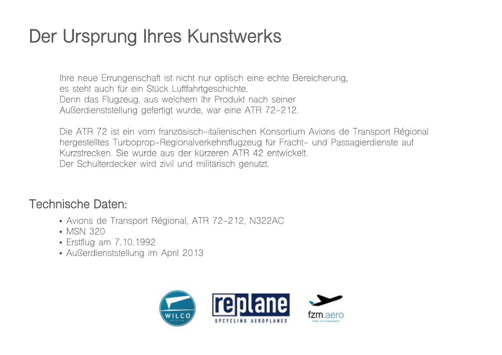## **Der Ursprung Ihres Kunstwerks**

Ihre neue Errungenschaft ist nicht nur optisch eine echte Bereicherung, es steht auch für ein Stück Luftfahrtgeschichte. Denn das Flugzeug, aus welchem Ihr Produkt nach seiner Außerdienststellung gefertigt wurde, war eine ATR 72-212.

Die ATR 72 ist ein vom französisch-italienischen Konsortium Avions de Transport Régional hergestelltes Turboprop-Regionalverkehrsflugzeug für Fracht- und Passagierdienste auf Kurzstrecken. Sie wurde aus der kürzeren ATR 42 entwickelt. Der Schulterdecker wird zivil und militärisch genutzt.

## **Technische Daten:**

- Avions de Transport Régional, ATR 72-212, N322AC
- MSN 320
- Erstflug am 7.10.1992
- Außerdienststellung im April 2013

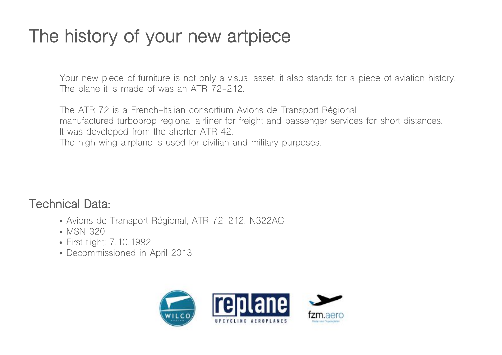## **The history of your new artpiece**

Your new piece of furniture is not only a visual asset, it also stands for a piece of aviation history. The plane it is made of was an ATR 72-212.

The ATR 72 is a French-Italian consortium Avions de Transport Régional manufactured turboprop regional airliner for freight and passenger services for short distances. It was developed from the shorter ATR 42.

The high wing airplane is used for civilian and military purposes.

**Technical Data:**

- Avions de Transport Régional, ATR 72-212, N322AC
- MSN 320
- First flight: 7.10.1992
- Decommissioned in April 2013

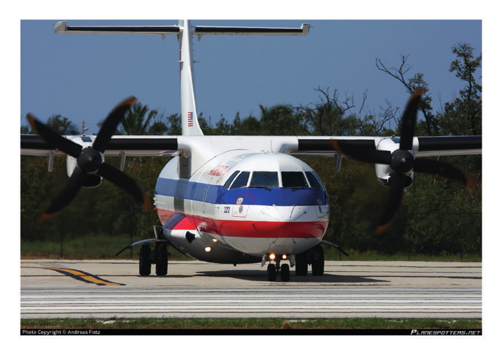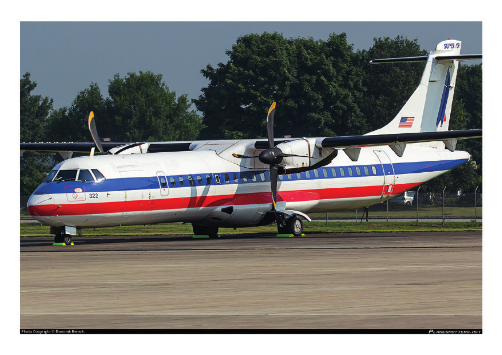